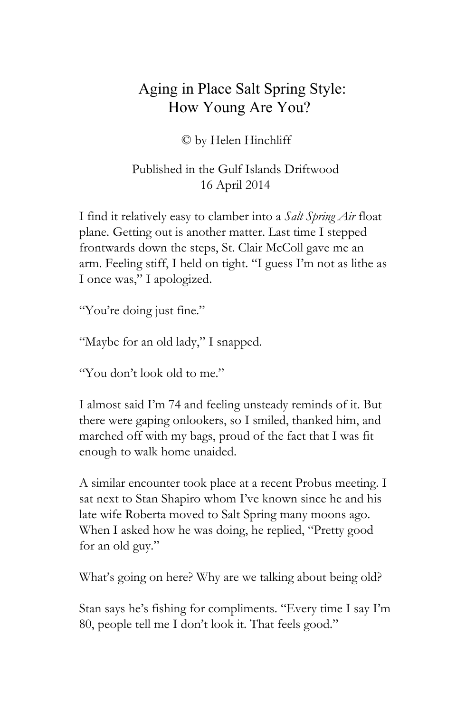## Aging in Place Salt Spring Style: How Young Are You?

## © by Helen Hinchliff

## Published in the Gulf Islands Driftwood 16 April 2014

I find it relatively easy to clamber into a *Salt Spring Air* float plane. Getting out is another matter. Last time I stepped frontwards down the steps, St. Clair McColl gave me an arm. Feeling stiff, I held on tight. "I guess I'm not as lithe as I once was," I apologized.

"You're doing just fine."

"Maybe for an old lady," I snapped.

"You don't look old to me."

I almost said I'm 74 and feeling unsteady reminds of it. But there were gaping onlookers, so I smiled, thanked him, and marched off with my bags, proud of the fact that I was fit enough to walk home unaided.

A similar encounter took place at a recent Probus meeting. I sat next to Stan Shapiro whom I've known since he and his late wife Roberta moved to Salt Spring many moons ago. When I asked how he was doing, he replied, "Pretty good for an old guy."

What's going on here? Why are we talking about being old?

Stan says he's fishing for compliments. "Every time I say I'm 80, people tell me I don't look it. That feels good."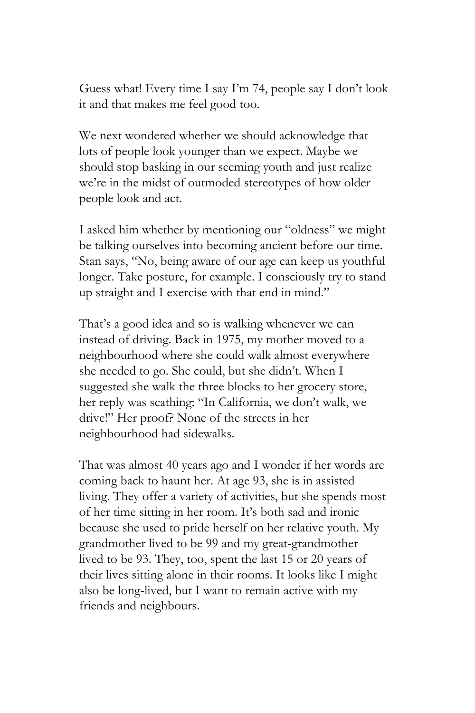Guess what! Every time I say I'm 74, people say I don't look it and that makes me feel good too.

We next wondered whether we should acknowledge that lots of people look younger than we expect. Maybe we should stop basking in our seeming youth and just realize we're in the midst of outmoded stereotypes of how older people look and act.

I asked him whether by mentioning our "oldness" we might be talking ourselves into becoming ancient before our time. Stan says, "No, being aware of our age can keep us youthful longer. Take posture, for example. I consciously try to stand up straight and I exercise with that end in mind."

That's a good idea and so is walking whenever we can instead of driving. Back in 1975, my mother moved to a neighbourhood where she could walk almost everywhere she needed to go. She could, but she didn't. When I suggested she walk the three blocks to her grocery store, her reply was scathing: "In California, we don't walk, we drive!" Her proof? None of the streets in her neighbourhood had sidewalks.

That was almost 40 years ago and I wonder if her words are coming back to haunt her. At age 93, she is in assisted living. They offer a variety of activities, but she spends most of her time sitting in her room. It's both sad and ironic because she used to pride herself on her relative youth. My grandmother lived to be 99 and my great-grandmother lived to be 93. They, too, spent the last 15 or 20 years of their lives sitting alone in their rooms. It looks like I might also be long-lived, but I want to remain active with my friends and neighbours.